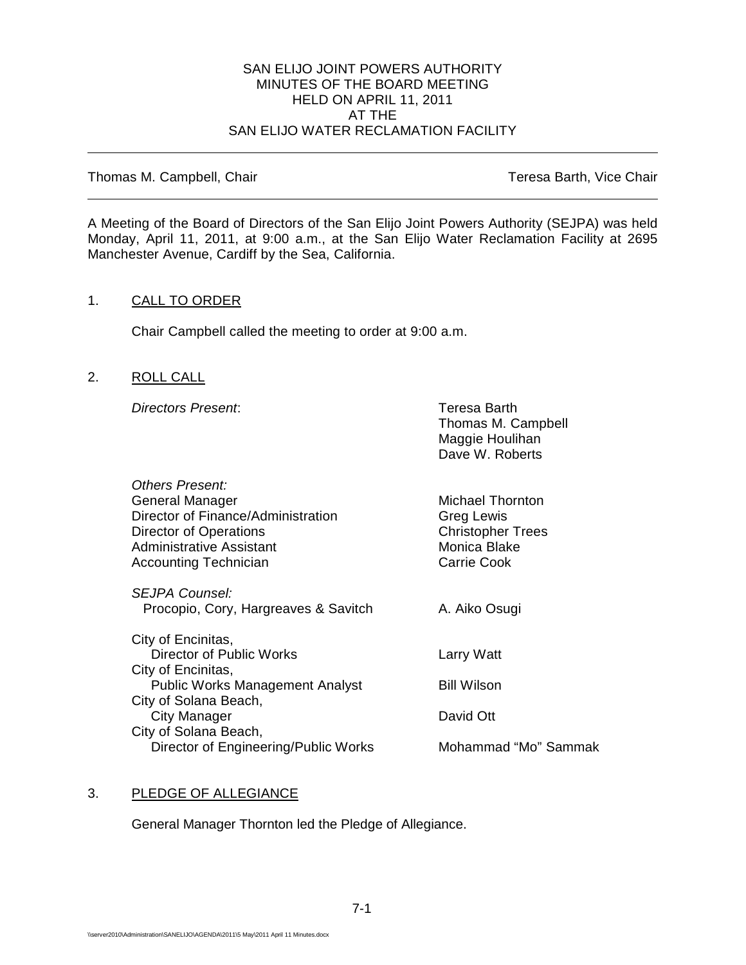#### SAN ELIJO JOINT POWERS AUTHORITY MINUTES OF THE BOARD MEETING HELD ON APRIL 11, 2011 AT THE SAN ELIJO WATER RECLAMATION FACILITY

Thomas M. Campbell, Chair Thomas M. Campbell, Chair

A Meeting of the Board of Directors of the San Elijo Joint Powers Authority (SEJPA) was held Monday, April 11, 2011, at 9:00 a.m., at the San Elijo Water Reclamation Facility at 2695 Manchester Avenue, Cardiff by the Sea, California.

# 1. CALL TO ORDER

Chair Campbell called the meeting to order at 9:00 a.m.

# 2. ROLL CALL

**Directors Present:** Teresa Barth

Thomas M. Campbell Maggie Houlihan Dave W. Roberts

| Others Present:                        |                          |
|----------------------------------------|--------------------------|
| General Manager                        | Michael Thornton         |
| Director of Finance/Administration     | <b>Greg Lewis</b>        |
| Director of Operations                 | <b>Christopher Trees</b> |
| Administrative Assistant               | Monica Blake             |
| <b>Accounting Technician</b>           | Carrie Cook              |
| <b>SEJPA Counsel:</b>                  |                          |
| Procopio, Cory, Hargreaves & Savitch   | A. Aiko Osugi            |
| City of Encinitas,                     |                          |
| Director of Public Works               | Larry Watt               |
| City of Encinitas,                     |                          |
| <b>Public Works Management Analyst</b> | Bill Wilson              |
| City of Solana Beach,                  |                          |
| City Manager                           | David Ott                |
| City of Solana Beach,                  |                          |
| Director of Engineering/Public Works   | Mohammad "Mo" Sammak     |

# 3. PLEDGE OF ALLEGIANCE

General Manager Thornton led the Pledge of Allegiance.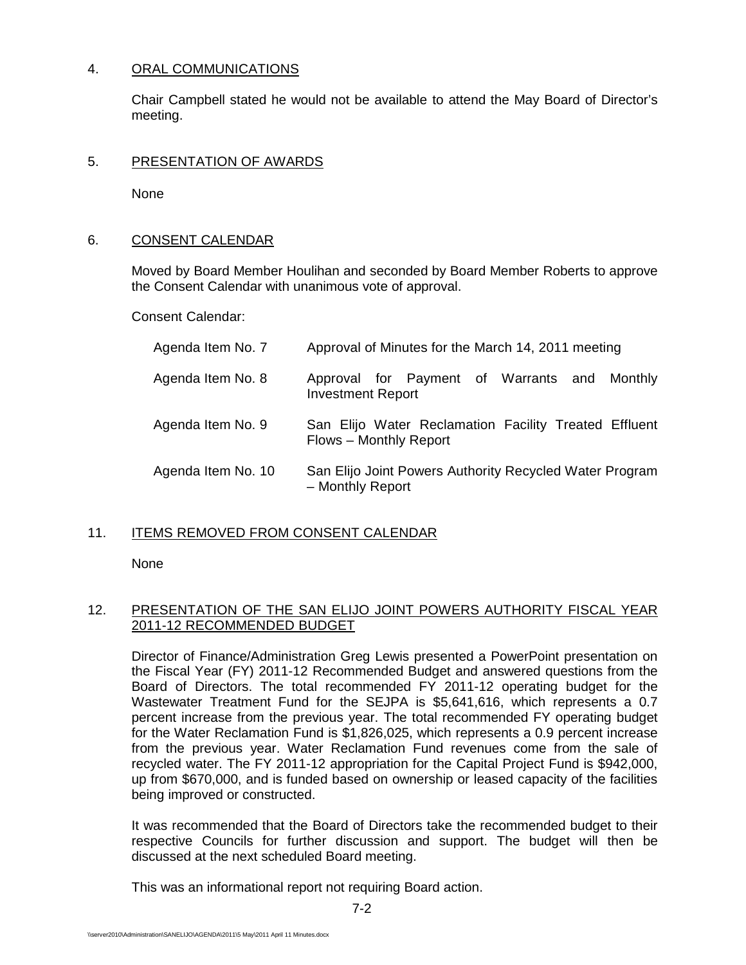# 4. ORAL COMMUNICATIONS

Chair Campbell stated he would not be available to attend the May Board of Director's meeting.

### 5. PRESENTATION OF AWARDS

None

### 6. CONSENT CALENDAR

Moved by Board Member Houlihan and seconded by Board Member Roberts to approve the Consent Calendar with unanimous vote of approval.

Consent Calendar:

| Agenda Item No. 7  | Approval of Minutes for the March 14, 2011 meeting                              |
|--------------------|---------------------------------------------------------------------------------|
| Agenda Item No. 8  | Approval for Payment of Warrants and Monthly<br><b>Investment Report</b>        |
| Agenda Item No. 9  | San Elijo Water Reclamation Facility Treated Effluent<br>Flows - Monthly Report |
| Agenda Item No. 10 | San Elijo Joint Powers Authority Recycled Water Program<br>- Monthly Report     |

# 11. ITEMS REMOVED FROM CONSENT CALENDAR

None

# 12. PRESENTATION OF THE SAN ELIJO JOINT POWERS AUTHORITY FISCAL YEAR 2011-12 RECOMMENDED BUDGET

Director of Finance/Administration Greg Lewis presented a PowerPoint presentation on the Fiscal Year (FY) 2011-12 Recommended Budget and answered questions from the Board of Directors. The total recommended FY 2011-12 operating budget for the Wastewater Treatment Fund for the SEJPA is \$5,641,616, which represents a 0.7 percent increase from the previous year. The total recommended FY operating budget for the Water Reclamation Fund is \$1,826,025, which represents a 0.9 percent increase from the previous year. Water Reclamation Fund revenues come from the sale of recycled water. The FY 2011-12 appropriation for the Capital Project Fund is \$942,000, up from \$670,000, and is funded based on ownership or leased capacity of the facilities being improved or constructed.

It was recommended that the Board of Directors take the recommended budget to their respective Councils for further discussion and support. The budget will then be discussed at the next scheduled Board meeting.

This was an informational report not requiring Board action.